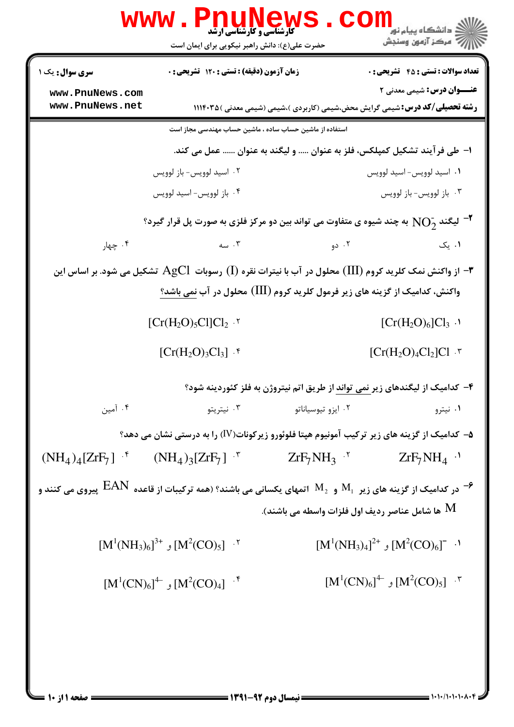|                                                                                                                                        | <b>www.Pn</b><br><b>کارشناسی و کارشناسی ارشد</b><br>حضرت علی(ع): دانش راهبر نیکویی برای ایمان است                  |                                                                                      | ڪ دانشڪاه پيا <sub>م</sub> نور<br>7- مرڪز آزمون وسنڊش |
|----------------------------------------------------------------------------------------------------------------------------------------|--------------------------------------------------------------------------------------------------------------------|--------------------------------------------------------------------------------------|-------------------------------------------------------|
| <b>سری سوال :</b> یک ۱                                                                                                                 | زمان آزمون (دقیقه) : تستی : ۱۲۰ تشریحی : ۰                                                                         |                                                                                      | <b>تعداد سوالات : تستی : 45 - تشریحی : 0</b>          |
| www.PnuNews.com<br>www.PnuNews.net                                                                                                     |                                                                                                                    |                                                                                      | <b>عنـــوان درس:</b> شیمی معدنی ۲                     |
|                                                                                                                                        |                                                                                                                    | <b>رشته تحصیلی/کد درس:</b> شیمی گرایش محض،شیمی (کاربردی )،شیمی (شیمی معدنی ) ۱۱۱۴۰۳۵ |                                                       |
|                                                                                                                                        | استفاده از ماشین حساب ساده ، ماشین حساب مهندسی مجاز است                                                            |                                                                                      |                                                       |
|                                                                                                                                        |                                                                                                                    | ا–  طي فر آيند تشكيل كمپلكس، فلز به عنوان  و ليگند به عنوان  عمل مي كند.             |                                                       |
|                                                                                                                                        | ۰۲ اسید لوویس- باز لوویس                                                                                           |                                                                                      | ۰۱ اسید لوویس- اسید لوویس                             |
|                                                                                                                                        | ۰۴ باز لوويس- اسيد لوويس                                                                                           |                                                                                      | ۰۳ باز لوويس-باز لوويس                                |
|                                                                                                                                        | $^\circ$ لیگند $\rm{NO}_{2}^{-}$ به چند شیوه ی متفاوت می تواند بین دو مرکز فلزی به صورت پل قرار گیرد $^\bullet$    |                                                                                      |                                                       |
| ۰۴ چهار                                                                                                                                | $\sim$ . ۳                                                                                                         | ۰۲ دو                                                                                | ۰۱ یک                                                 |
|                                                                                                                                        | از واکنش نمک کلرید کروم (III) محلول در آب با نیترات نقره (I) رسوبات $\rm AgCl$ تشکیل می شود. بر اساس این $\bullet$ |                                                                                      |                                                       |
|                                                                                                                                        |                                                                                                                    | واکنش، کدامیک از گزینه های زیر فرمول کلرید کروم (III) محلول در آب نمی باشد؟          |                                                       |
|                                                                                                                                        | $[Cr(H2O)5Cl]Cl2$ .                                                                                                |                                                                                      | $[Cr(H2O)6]Cl3$ .                                     |
|                                                                                                                                        | $[Cr(H2O)3Cl3]$ .                                                                                                  |                                                                                      | $[Cr(H2O)4Cl2]Cl.†$                                   |
|                                                                                                                                        |                                                                                                                    | ۴– کدامیک از لیگندهای زیر <u>نمی تواند</u> از طریق اتم نیتروژن به فلز کئوردینه شود؟  |                                                       |
| ۰۴ آمین                                                                                                                                | ۰۳ نیتریتو                                                                                                         | ۰۲ ایزو تیوسیاناتو                                                                   | ۰۱ نیترو                                              |
|                                                                                                                                        | ۵– کدامیک از گزینه های زیر ترکیب آمونیوم هپتا فلوئورو زیرکونات(IV) را به درستی نشان می دهد؟                        |                                                                                      |                                                       |
|                                                                                                                                        | $(NH_4)_4[ZrF_7]$ $(NH_4)_3[ZrF_7]$ $\bar{r}$                                                                      | $ZrF_7NH_3$ '                                                                        | $ZrF_7NH_4$ <sup>.</sup>                              |
| در کدامیک از گزینه های زیر $\rm M_{_1}$ و $\rm M_{_2}$ اتمهای یکسانی می باشند؟ (همه ترکیبات از قاعده $\rm EAN$ پیروی می کنند و $^{-2}$ |                                                                                                                    |                                                                                      |                                                       |
|                                                                                                                                        |                                                                                                                    | ها شامل عناصر رديف اول فلزات واسطه مى باشند). ${\rm M}$                              |                                                       |
|                                                                                                                                        | $[M^1(NH_3)_6]^{3+}$ , $[M^2(CO)_5]$ .                                                                             |                                                                                      | $[M^1(NH_3)_4]^{2+}$ , $[M^2(CO)_6]^{-}$ .            |
|                                                                                                                                        | $[M^1(CN)_6]^4$ , $[M^2(CO)_4]$ <sup>+</sup>                                                                       |                                                                                      | $[M^1(CN)_6]^4$ , $[M^2(CO)_5]$ .                     |
|                                                                                                                                        |                                                                                                                    |                                                                                      |                                                       |
|                                                                                                                                        |                                                                                                                    |                                                                                      |                                                       |
|                                                                                                                                        |                                                                                                                    |                                                                                      |                                                       |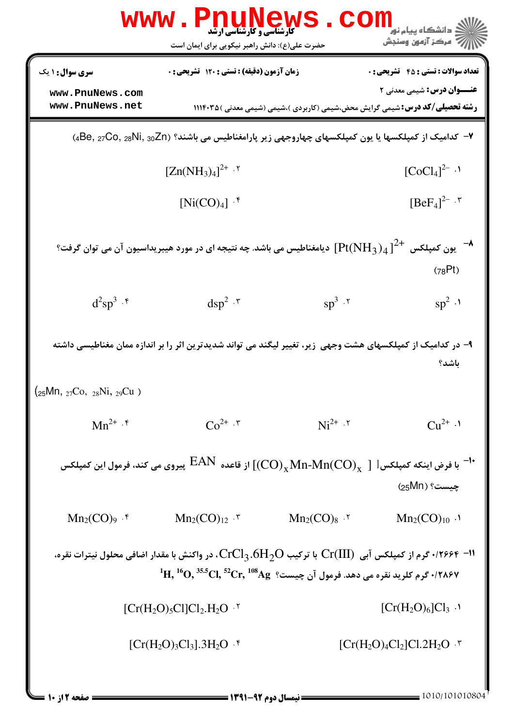|                                                                      | WWW . F<br><b>کارشناسی و کارشناسی ارشد</b><br>حضرت علی(ع): دانش راهبر نیکویی برای ایمان است                                                                                                                                                                                                    |                                                                                       | ز دانشگاه پيام نو <mark>ر</mark><br>۽ '' مرڪز آزمون وسنڊش                       |
|----------------------------------------------------------------------|------------------------------------------------------------------------------------------------------------------------------------------------------------------------------------------------------------------------------------------------------------------------------------------------|---------------------------------------------------------------------------------------|---------------------------------------------------------------------------------|
| <b>سری سوال :</b> ۱ یک<br>www.PnuNews.com<br>www.PnuNews.net         | زمان آزمون (دقیقه) : تستی : 120 تشریحی : 0                                                                                                                                                                                                                                                     | <b>رشته تحصیلی/کد درس:</b> شیمی گرایش محض،شیمی (کاربردی )،شیمی (شیمی معدنی )۱۱۱۴۰۳۵ ( | <b>تعداد سوالات : تستی : 45 گشریحی : 0</b><br><b>عنـــوان درس:</b> شیمی معدنی ۲ |
|                                                                      | ۷− کدامیک از کمپلکسها یا یون کمپلکسهای چهاروجهی زیر پارامغناطیس می باشند؟ (Be, 27C0, 28Ni, 30Znم)                                                                                                                                                                                              |                                                                                       |                                                                                 |
|                                                                      | $[Zn(NH_3)_4]^{2+}$ .                                                                                                                                                                                                                                                                          |                                                                                       | $[CoCl4]^{2-}.$                                                                 |
|                                                                      | $[Ni(CO)4]$ .*                                                                                                                                                                                                                                                                                 |                                                                                       | $[BeF_4]^{2-7}$                                                                 |
|                                                                      | یون کمپلکس $\mathrm{Pt}(\mathrm{NH}_3)_4$ ] دیامغناطیس می باشد. چه نتیجه ای در مورد هیبریداسیون آن می توان گرفت $^{-\blacklozenlo}$                                                                                                                                                            |                                                                                       | (78Pt)                                                                          |
| $d^2sp^3 \cdot$                                                      | $\mathrm{dsp}^2 \cdot$ *                                                                                                                                                                                                                                                                       | $sp^3 \cdot r$                                                                        | $sp^2 \cdot 1$                                                                  |
|                                                                      | ۹– در کدامیک از کمپلکسهای هشت وجهی زیر، تغییر لیگند می تواند شدیدترین اثر را بر اندازه ممان مغناطیسی داشته                                                                                                                                                                                     |                                                                                       | باشد؟                                                                           |
| $\left(25\text{Mn},\,27\text{Co},\,28\text{Ni},\,29\text{Cu}\right)$ |                                                                                                                                                                                                                                                                                                |                                                                                       |                                                                                 |
| $Mn^{2+} \cdot$ f                                                    | $Co^{2+} \cdot$ $\bar{v}$                                                                                                                                                                                                                                                                      | $Ni^{2+}$ $.7$                                                                        | $Cu^{2+}$ .                                                                     |
|                                                                      | با فرض اینکه کمپلکس ${\rm Hn\text{-}Mn(CO)_x}\mod 2$ از قاعده ${\rm EAN}$ پیروی می کند، فرمول این کمپلکس $^{-1}$                                                                                                                                                                               |                                                                                       | چيست؟ ( 95Mn)                                                                   |
| $Mn_2(CO)_{9}$ . f                                                   | $Mn_2(CO)_{12}$ .                                                                                                                                                                                                                                                                              | $Mn_2(CO)_8$ .                                                                        | $Mn_2(CO)_{10}$ .                                                               |
|                                                                      | ۰/۲۶۶۴ –۱۱ گرم از کمپلکس آبی $\rm Cr(III)$ با ترکیب $\rm CrCl_3.6H_2O$ ، در واکنش با مقدار اضافی محلول نیترات نقره،<br>$\,{}^1\mathrm{H},{}^{16}\mathrm{O},{}^{35.5}\mathrm{Cl},{}^{52}\mathrm{Cr},{}^{108}\mathrm{Ag}$ ، فرم کلرید نقره می دهد. فرمول آن چیست $\cdot$ /۲۸۶۷ کرم کلرید نقره می |                                                                                       |                                                                                 |
|                                                                      | $[Cr(H2O)5Cl]Cl2.H2O^{7}$                                                                                                                                                                                                                                                                      |                                                                                       | $[Cr(H2O)6]Cl3$ .                                                               |
|                                                                      | $[Cr(H2O)3Cl3].3H2O^{6}$                                                                                                                                                                                                                                                                       |                                                                                       | $[Cr(H2O)4Cl2]Cl.2H2O^{7}$                                                      |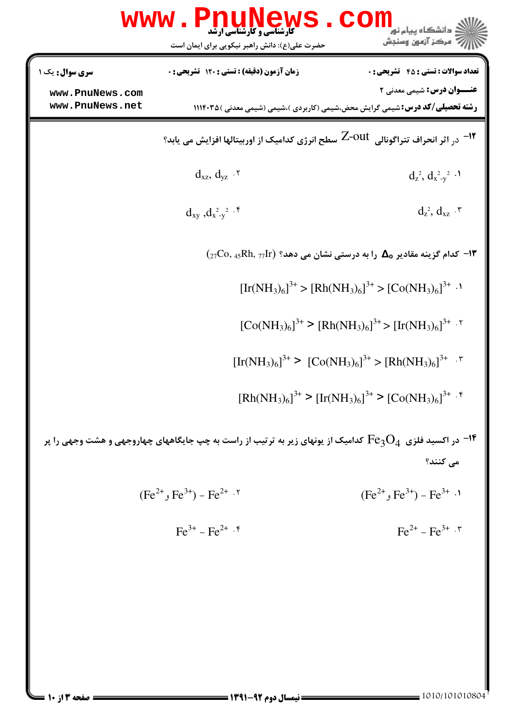|                                    | www.PnuNews<br>حضرت علی(ع): دانش راهبر نیکویی برای ایمان است | <b>COI</b><br>دانشگاه پیام نور<br>7' مرڪز آزمون وسنڊش                                                                     |
|------------------------------------|--------------------------------------------------------------|---------------------------------------------------------------------------------------------------------------------------|
| سری سوال : یک ۱                    | زمان آزمون (دقیقه) : تستی : 120 تشریحی : 0                   | <b>تعداد سوالات : تستي : 45 - تشريحي : 0</b>                                                                              |
| www.PnuNews.com<br>www.PnuNews.net |                                                              | <b>عنـــوان درس:</b> شیمی معدنی ۲<br><b>رشته تحصیلی/کد درس:</b> شیمی گرایش محض،شیمی (کاربردی )،شیمی (شیمی معدنی ) ۱۱۱۴۰۳۵ |
|                                    |                                                              | <sup>1۲ -</sup> در اثر انحراف تتراگونالی  Z-OUt  سطح انرژی کدامیک از اوربیتالها افزایش می یابد؟                           |
|                                    | $d_{xz}, d_{yz}$ .                                           | $d_{z}^{2}, d_{x-y}^{2}$ .                                                                                                |
|                                    | $d_{xy}$ , $d_{x-y}^2$ <sup>2</sup> .                        | $d_z^2$ , $d_{xz}$ . ۳                                                                                                    |
|                                    |                                                              | $\rm (27Co,\,45Rh,\,77Ir)$ حدام گزینه مقادیر م $\rm \Delta$ را به درستی نشان می دهد؟ (P                                   |
|                                    |                                                              | $[Ir(NH_3)_6]^{3+}$ > $[Rh(NH_3)_6]^{3+}$ > $[Co(NH_3)_6]^{3+}$ .                                                         |
|                                    |                                                              | $[Co(NH_3)_6]^{3+}$ > $[Rh(NH_3)_6]^{3+}$ > $[Ir(NH_3)_6]^{3+}$ . <sup>7</sup>                                            |
|                                    |                                                              | $[\text{Ir(NH3)6]3+ > [Co(NH3)6]3+ > [Rh(NH3)6]3+$                                                                        |
|                                    |                                                              | $[Rh(NH_3)_6]^{3+}$ > $[Ir(NH_3)_6]^{3+}$ > $[Co(NH_3)_6]^{3+}$ . $\frac{1}{2}$                                           |
|                                    |                                                              | در اکسید فلزی $\rm{Fe_{3}O_{4}}$ کدامیک از یونهای زیر به ترتیب از راست به چپ جایگاههای چهاروجهی و هشت وجهی را پر $^{-16}$ |
|                                    |                                                              | می کنند؟                                                                                                                  |
|                                    | $(Fe^{2+}, Fe^{3+}) - Fe^{2+}$ .                             | $(Fe^{2+}, Fe^{3+}) - Fe^{3+}$ .                                                                                          |
|                                    | $\text{Fe}^{3+}$ – $\text{Fe}^{2+}$ $\cdot$ $\text{F}$       | $\text{Fe}^{2+}$ – $\text{Fe}^{3+}$ $\cdot$ $\cdot$                                                                       |
|                                    |                                                              |                                                                                                                           |
|                                    |                                                              |                                                                                                                           |
|                                    |                                                              |                                                                                                                           |
|                                    |                                                              |                                                                                                                           |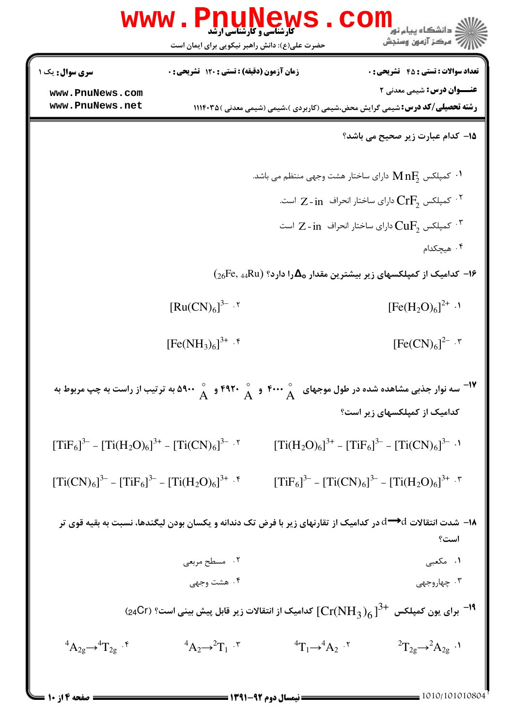|                                                        | حضرت علی(ع): دانش راهبر نیکویی برای ایمان است |                                | رُ⁄بَ ' مرڪز آزمون وسنڊش                                                                                                             |
|--------------------------------------------------------|-----------------------------------------------|--------------------------------|--------------------------------------------------------------------------------------------------------------------------------------|
| <b>سری سوال :</b> یک ۱                                 | زمان آزمون (دقیقه) : تستی : 120 تشریحی : 0    |                                | <b>تعداد سوالات : تستي : 45 - تشريحي : 0</b>                                                                                         |
| www.PnuNews.com                                        |                                               |                                | <b>عنـــوان درس:</b> شیمی معدنی ۲                                                                                                    |
| www.PnuNews.net                                        |                                               |                                | <b>رشته تحصیلی/کد درس:</b> شیمی گرایش محض،شیمی (کاربردی )،شیمی (شیمی معدنی )۱۱۱۴۰۳۵                                                  |
|                                                        |                                               |                                | 15- کدام عبارت زیر صحیح می باشد؟                                                                                                     |
|                                                        |                                               |                                | دارای ساختار هشت وجهی منتظم می باشد. $\rm M\,nF_{\rm 2}$                                                                             |
|                                                        |                                               |                                | دارای ساختار انحراف $\Gamma$ - in است. $\mathrm{CrF}_2$ است $^\mathrm{r}$                                                            |
|                                                        |                                               |                                | دارای ساختار انحراف $\,$ - in کمپلکس $\,$ Cu $\rm F_{2}$ است $\,$ $\,$ $\,$                                                          |
|                                                        |                                               |                                | ۰۴ هیچکدام                                                                                                                           |
|                                                        |                                               |                                | $\rm \Lambda_{26}$ Fe, 44Ru) حدامیک از کمپلکسهای زیر بیشترین مقدار م $\rm \Delta_{0}$ را دارد؟ $\rm F$ e, 44Ru)                      |
|                                                        |                                               |                                |                                                                                                                                      |
|                                                        | [Ru(CN) <sub>6</sub> ] <sup>3–7</sup>         |                                | $[Fe(H2O)6]2+$ .                                                                                                                     |
|                                                        | $[Fe(NH_3)_6]^{3+}$ . $\lceil$                |                                | [Fe(CN) <sub>6</sub> ] <sup>2–.7</sup>                                                                                               |
|                                                        |                                               |                                | لا - سه نوار جذبی مشاهده شده در طول موجهای س $\mathop{\wedge}^{\circ}$ ۴۰۰۰ و سم ۳۹۲۰ و ۵۹۰۰ به ترتیب از راست به چپ مربوط به $^{-1}$ |
|                                                        |                                               |                                | کدامیک از کمپلکسهای زیر است؟                                                                                                         |
| $[TiF_6]^{3-} - [Ti(H_2O)_6]^{3+} - [Ti(CN)_6]^{3-}$ . |                                               |                                | $[Ti(H_2O)_6]^{3+} - [TiF_6]^{3-} - [Ti(CN)_6]^{3-}$ .                                                                               |
| $[Ti(CN)6]3- - [TiF6]3- - [Ti(H2O)6]3+$                |                                               |                                | $[TiF_6]^{3-} - [Ti(CN)_6]^{3-} - [Ti(H_2O)_6]^{3+}$ .                                                                               |
|                                                        |                                               |                                | ۱۸– شدت انتقالات d→d در کدامیک از تقارنهای زیر با فرض تک دندانه و یکسان بودن لیگندها، نسبت به بقیه قوی تر                            |
|                                                        |                                               |                                | است؟                                                                                                                                 |
|                                                        | ۰۲ مسطح مربعی<br>۰۴ هشت وجهي                  |                                | ۰۱ مکعبی<br>۰۳ چهاروجهي                                                                                                              |
|                                                        |                                               |                                |                                                                                                                                      |
|                                                        |                                               |                                | (24Cr) برای یون کمپلکس $\mathrm{Cr}(\mathrm{NH}_3)_6$ ] کدامیک از انتقالات زیر قابل پیش بینی است؟ (24Cr) برای یون کمپلکس             |
| ${}^4A_{2g} \rightarrow {}^4T_{2g}$ . $\gamma$         | ${}^4A_2 \rightarrow {}^2T_1$ .               | ${}^4T_1\rightarrow {}^4A_2$ . | ${}^{2}T_{2g} \rightarrow {}^{2}A_{2g}$ .                                                                                            |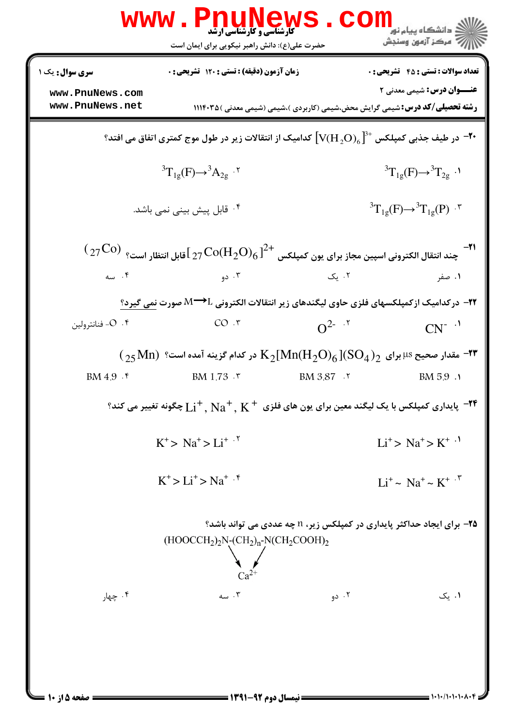|                                    | www.PnuNews.com<br><b>5 کارشناسی و کارشناسی ارشد</b><br>حضرت علی(ع): دانش راهبر نیکویی برای ایمان است                                 |                                                                                      | دانشگاه پیام نور <mark>۱.</mark><br>گ<br><i>إل<sup>7</sup> مرڪ</i> ز آزمون وسنڊش |
|------------------------------------|---------------------------------------------------------------------------------------------------------------------------------------|--------------------------------------------------------------------------------------|----------------------------------------------------------------------------------|
| <b>سری سوال :</b> یک ۱             | <b>زمان آزمون (دقیقه) : تستی : 120 تشریحی : 0</b>                                                                                     |                                                                                      | <b>تعداد سوالات : تستی : 45 ۔ تشریحی : 0</b>                                     |
| www.PnuNews.com<br>www.PnuNews.net |                                                                                                                                       | <b>رشته تحصیلی/کد درس:</b> شیمی گرایش محض،شیمی (کاربردی )،شیمی (شیمی معدنی ) ۱۱۱۴۰۳۵ | <b>عنـــوان درس:</b> شیمی معدنی ۲                                                |
|                                    | در طیف جذبی کمپلکس $[\text{V}(\text{H}_{\,2}\text{O})_{6}]^{3+}$ کدامیک از انتقالات زیر در طول موج کمتری اتفاق می افتد؟ $\text{-}$ ۲۰ |                                                                                      |                                                                                  |
|                                    | ${}^{3}T_{1g}(F) \rightarrow {}^{3}A_{2g}$ .                                                                                          |                                                                                      | ${}^{3}T_{1g}(F) \rightarrow {}^{3}T_{2g}$ .                                     |
|                                    | ۰ <sup>۴</sup> قابل پیش بینی نمی باشد.                                                                                                |                                                                                      | ${}^{3}T_{1g}(F) \rightarrow {}^{3}T_{1g}(P)$ .                                  |
|                                    | $\rm (27^{{\rm Co}})$ چند انتقال الكترونى اسپين مجاز براى يون كمپلكس $\rm ^{2+}$ ل $\rm Co(H_2O)_6$ آقابل انتظار است؟ $\rm ^{3}$      |                                                                                      |                                                                                  |
| ۰۴ سه                              | ۰۳ دو $\cdot$                                                                                                                         | ۰۲ یک                                                                                | ۰۱ صفر                                                                           |
|                                    | ۲۲− درکدامیک ازکمپلکسهای فلزی حاوی لیگندهای زیر انتقالات الکترونی M→L صورت نمی گیرد؟                                                  |                                                                                      |                                                                                  |
| ۰۴ - فنانترولين                    | $CO \cdot r$                                                                                                                          | $Q^{2-.7}$                                                                           | $CN^{-1}$                                                                        |
|                                    | $\rm (158\,Mn)$ "هقدار صحیح 48 برای $\rm K_2[Mn(H_2O)_6]$ در کدام گزینه آمده است "                                                    |                                                                                      |                                                                                  |
| BM $4.9 \cdot$ $\epsilon$          | <b>BM</b> 1.73 $\cdot$ $\cdot$                                                                                                        | <b>BM</b> 3.87 .                                                                     | BM 5.9 .                                                                         |
|                                    | پایداری کمپلکس با یک لیگند معین برای یون های فلزی $\rm{K^+,\,Na^+,\,Na^+,\,Na^+}$ چگونه تغییر می کند؟ "                               |                                                                                      |                                                                                  |
|                                    | $K^+$ > $Na^+$ > $Li^+$ . <sup>5</sup>                                                                                                |                                                                                      | $Li^{\dagger} > Na^{\dagger} > K^{\dagger}$ <sup>.1</sup>                        |
|                                    | $K^+ > Li^+ > Na^+$ . f                                                                                                               |                                                                                      | $Li^+ \sim Na^+ \sim K^+$ .                                                      |
|                                    | $(HOOCCH2)2N-(CH2)n-N(CH2COOH)2$                                                                                                      | <b>۲۵-</b> برای ایجاد حداکثر پایداری در کمپلکس زیر، n چه عددی می تواند باشد؟         |                                                                                  |
| ۰۴ چهار                            | ۰۳ سه                                                                                                                                 | ۰۲ دو                                                                                | ۰۱ یک                                                                            |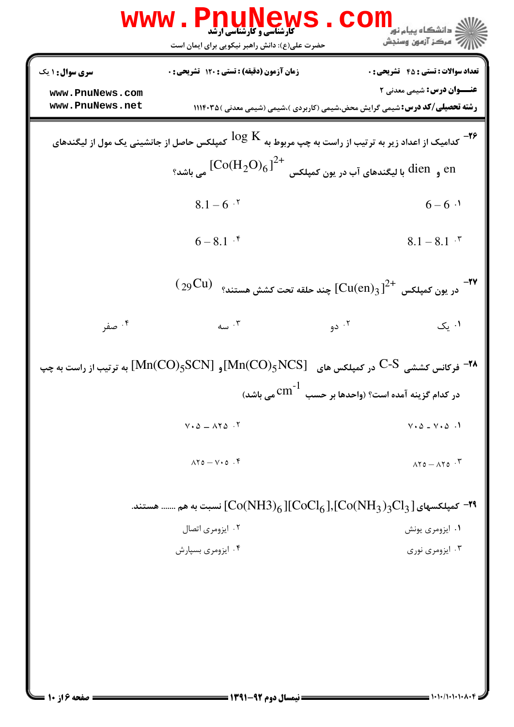| <b>WWW</b>                         | ews<br><b>کارشناسی و کارشناسی ارشد</b><br>حضرت علی(ع): دانش راهبر نیکویی برای ایمان است                   | <mark>ڪ دانشڪاه پيام نور</mark><br>ر <i>- مرڪ</i> ز آزمون وسنڊش                                                           |
|------------------------------------|-----------------------------------------------------------------------------------------------------------|---------------------------------------------------------------------------------------------------------------------------|
| <b>سری سوال :</b> ۱ یک             | <b>زمان آزمون (دقیقه) : تستی : 120 تشریحی : 0</b>                                                         | <b>تعداد سوالات : تستي : 45 - تشريحي : 0</b>                                                                              |
| www.PnuNews.com<br>www.PnuNews.net |                                                                                                           | <b>عنـــوان درس:</b> شیمی معدنی ۲<br><b>رشته تحصیلی/کد درس:</b> شیمی گرایش محض،شیمی (کاربردی )،شیمی (شیمی معدنی ) ۱۱۱۴۰۳۵ |
|                                    | کمپلکس حاصل از جانشینی یک مول از لیگندهای $\log\, {\rm K}$                                                | <b>۲۶</b> -<br>کدامیک از اعداد زیر به ترتیب از راست به چپ مربوط به                                                        |
|                                    | و $\left(\mathrm{Co}(\mathrm{H_2O)_6}\right)^{2+}$ و $\mathrm{dien}$ با لیگندهای آب در یون کمپلکس $^{2+}$ |                                                                                                                           |
|                                    | $8.1 - 6$ $.7$                                                                                            | $6 - 6$ ·                                                                                                                 |
|                                    | $6 - 8.1$ $\cdot$ <sup>6</sup>                                                                            | $8.1 - 8.1$ $\cdot$ $\cdot$                                                                                               |
|                                    |                                                                                                           | $\rm \ (29Cu)$ در يون كمپلكس $\rm \ [Cu(en)_3\ ]^{2+}$ چند حلقه تحت كشش هستند؟ $\rm \ ^{\rm \bullet}$                     |
| ۰۴ صفر                             | ۰۳ سه $\cdot$                                                                                             | ۰۲ دو<br>۰۱ یک                                                                                                            |
|                                    |                                                                                                           | او ${\rm Mn(CO)_5 SC}$ به ترتیب از راست به چپ ${\rm Mn(CO)_5 NCS}$ ( ${\rm Mn(CO)_5 SC}$ ) به ترتیب از راست به چپ $^{-1}$ |
|                                    |                                                                                                           | در کدام گزینه آمده است؟ (واحدها بر حسب $\mathrm{cm}^{-1}$ می باشد)                                                        |
|                                    | $V \cdot \Delta = \Delta V \Delta$ .                                                                      | $V \cdot \Delta = V \cdot \Delta$ .                                                                                       |
|                                    | $\lambda Y_0 - V_0$ .                                                                                     | $\lambda Y_0 - \lambda Y_0$ .                                                                                             |
|                                    |                                                                                                           | - کمپلکسهای ${\rm [CoCl_6\,],[CoCH_3)}_{6}$ آسبت به هم  هستند. The ${\rm [CoCH_3)}_{6}$                                   |
|                                    | ۰۲ ایزومری اتصال                                                                                          | ۰۱ ایزومری یونش                                                                                                           |
|                                    | ۰۴ ایزومری بسپارش                                                                                         | ۰۳ ایزومری نوری                                                                                                           |
|                                    |                                                                                                           |                                                                                                                           |
|                                    |                                                                                                           |                                                                                                                           |
|                                    |                                                                                                           |                                                                                                                           |
|                                    |                                                                                                           |                                                                                                                           |
|                                    |                                                                                                           |                                                                                                                           |

 $= 1 - 1 - 1 - 1 - 1 - 1 - 1$ 

**= صفحه ۶ از ۱۰ =**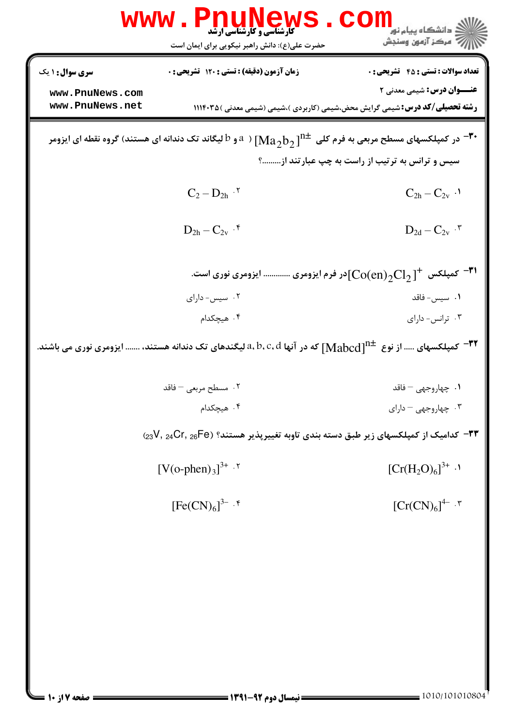|                        | www.Pnu<br><b>کارشناسی و کارشناسی ارشد</b><br>حضرت علی(ع): دانش راهبر نیکویی برای ایمان است | ر دانشگاه پيام نور <mark>−</mark><br>ا∛ مرکز آزمون وسنجش                                                                                           |
|------------------------|---------------------------------------------------------------------------------------------|----------------------------------------------------------------------------------------------------------------------------------------------------|
| <b>سری سوال : ۱ یک</b> | زمان آزمون (دقیقه) : تستی : 120 تشریحی : 0                                                  | <b>تعداد سوالات : تستی : 45 - تشریحی : 0</b>                                                                                                       |
| www.PnuNews.com        |                                                                                             | <b>عنـــوان درس:</b> شیمی معدنی ۲                                                                                                                  |
| www.PnuNews.net        |                                                                                             | <b>رشته تحصیلی/کد درس:</b> شیمی گرایش محض،شیمی (کاربردی )،شیمی (شیمی معدنی ) ۱۱۱۴۰۳۵                                                               |
|                        |                                                                                             | در کمپلکسهای مسطح مربعی به فرم کلی $^{11\pm}$ $[{\rm Ma}_2{\rm b}_2]^{\rm n}$ ( $^3$ و $^1$ لیگاند تک دندانه ای هستند) گروه نقطه ای ایزومر $^{-1}$ |
|                        |                                                                                             | سیس و ترانس به ترتیب از راست به چپ عبارتند از ؟                                                                                                    |
|                        | $C_2-D_{2h}$ $\cdot$ $^\intercal$                                                           | $C_{2h} - C_{2v}$ .                                                                                                                                |
|                        | $D_{2h}-C_{2v}$ $\cdot$ $\sp{\ast}$                                                         | $D_{2d}-C_{2v}$ $\cdot^\intercal$                                                                                                                  |
|                        |                                                                                             | کرو ${\rm Co(en)}_2{\rm Cl}_2$ ادر فرم ایزومری  ایزومری نوری است. ${\rm \mathsf{F}}^1$                                                             |
|                        | ۰۲ سیس- دارای                                                                               | ۰۱ سیس- فاقد                                                                                                                                       |
|                        | ۰۴ هیچکدام                                                                                  | ۰۳ ترانس- دارای                                                                                                                                    |
|                        |                                                                                             | م در آنها $a,b,c,d$ ایگندهای تک دندانه هستند،  ایزومری نوری می باشند. "Mabcd ] $^{-{\textsf{FT}}}$ کمپلکسهای  از نوع $^{-{\textsf{FT}}}$           |
|                        | ۰۲ مسطح مربعی – فاقد                                                                        | ٠١. چهاروجهي – فاقد                                                                                                                                |
|                        | ۰۴ هیچکدام                                                                                  | ۰۳ چهاروجهی – دارای                                                                                                                                |
|                        |                                                                                             | ۳۳− کدامیک از کمپلکسهای زیر طبق دسته بندی تاوبه تغییرپذیر هستند؟ (25P− 23V, 24Cr, 26Fe                                                             |
|                        | $[V(o\text{-phen})_3]^{3+}$ .                                                               | $[Cr(H2O)6]3+$ .                                                                                                                                   |
|                        | [Fe(CN) <sub>6</sub> ] <sup>3–.5</sup>                                                      | ${[Cr(CN)6]}^{4- .7}$                                                                                                                              |
|                        |                                                                                             |                                                                                                                                                    |
|                        |                                                                                             |                                                                                                                                                    |
|                        |                                                                                             |                                                                                                                                                    |
|                        |                                                                                             |                                                                                                                                                    |
|                        |                                                                                             |                                                                                                                                                    |
|                        |                                                                                             |                                                                                                                                                    |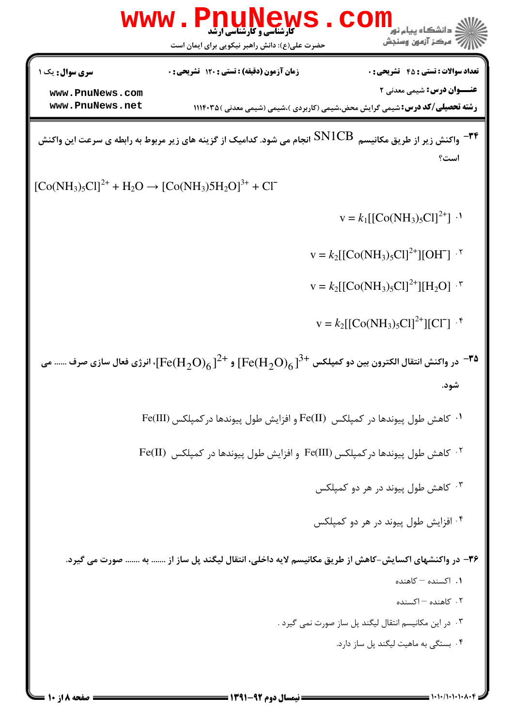|                                                             | <b>WWW . F</b><br><b>کارشناسی و کارشناسی ارشد</b><br>حضرت علی(ع): دانش راهبر نیکویی برای ایمان است                                 | :انشگاه پیام نور<br>مركز آزمون وسنجش                                                          |
|-------------------------------------------------------------|------------------------------------------------------------------------------------------------------------------------------------|-----------------------------------------------------------------------------------------------|
| <b>سری سوال:</b> یک ۱<br>www.PnuNews.com<br>www.PnuNews.net | زمان آزمون (دقیقه) : تستی : 120 تشریحی : 0<br><b>رشته تحصیلی/کد درس:</b> شیمی گرایش محض،شیمی (کاربردی )،شیمی (شیمی معدنی ) ۱۱۱۴۰۳۵ | <b>تعداد سوالات : تستي : 45 گشریحي : 0</b><br><b>عنـــوان درس:</b> شیمی معدنی ۲               |
|                                                             | واکنش زیر از طریق مکانیسم $\rm SN1CB$ انجام می شود. کدامیک از گزینه های زیر مربوط به رابطه ی سرعت این واکنش $^{-\dagger\dagger}$   | است؟                                                                                          |
| $[Co(NH3)5Cl]2+ + H2O \rightarrow [Co(NH3)5H2O]3+ + Cl-$    |                                                                                                                                    |                                                                                               |
|                                                             |                                                                                                                                    | $V = k_1 [[Co(NH_3)_5Cl]^{2+}]$ .                                                             |
|                                                             |                                                                                                                                    | $V = k_2 [[Co(NH_3)_5Cl]^2^+][OH^-]$ .                                                        |
|                                                             |                                                                                                                                    | $V = k_2[[CO(NH_3)_5Cl]^2^+][H_2O]^{-1}$                                                      |
|                                                             |                                                                                                                                    | $V = k_2 [[Co(NH_3)_5Cl]^2^+][Cl^-]$ . <sup>6</sup>                                           |
|                                                             | در واكنش انتقال الكترون بين دو كمپلكس $\mathrm{[Fe(H_2O)_6]}^{3+}$ و $\mathrm{[Fe(H_2O)_6]}^{2+}$ ، انرژى فعال سازى صرف  مى        | -35<br>شود.                                                                                   |
|                                                             | ۰۱ كاهش طول پيوندها در كمپلكس  (Fe(II و افزايش طول پيوندها در كمپلكس (Fe(III                                                       |                                                                                               |
|                                                             | <sup>7</sup> · كاهش طول پیوندها در كمپلكس (Fe(III و افزايش طول پيوندها در كمپلكس (Fe(II                                            |                                                                                               |
|                                                             |                                                                                                                                    | ۰۳ کاهش طول پیوند در هر دو کمپلکس                                                             |
|                                                             |                                                                                                                                    | ۰ <sup>۲ .</sup> افزایش طول پیوند در هر دو کمپلکس                                             |
|                                                             | ۳۶– در واکنشهای اکسایش-کاهش از طریق مکانیسم لایه داخلی، انتقال لیگند پل ساز از  به  صورت می گیرد.                                  |                                                                                               |
|                                                             |                                                                                                                                    | ۰۱ اکسنده - کاهنده                                                                            |
|                                                             |                                                                                                                                    | ۰۲ کاهنده – اکسنده                                                                            |
|                                                             |                                                                                                                                    | ۰۳ در این مکانیسم انتقال لیگند پل ساز صورت نمی گیرد .<br>۰۴ بستگی به ماهیت لیگند پل ساز دارد. |
|                                                             |                                                                                                                                    |                                                                                               |

 $= 1 - 1 - 1 - 1 - 1 - 1$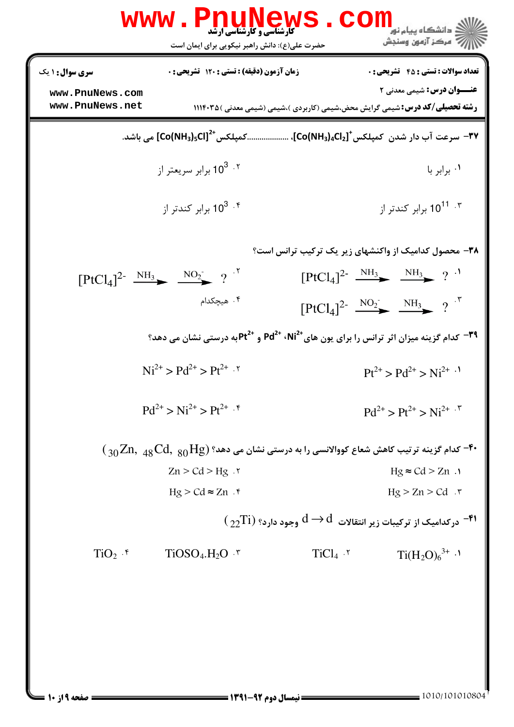|                                    | <b>WWW.PNU</b><br><b>ً کارشناسی و کارشناسی ارشد</b><br>حضرت علی(ع): دانش راهبر نیکویی برای ایمان است                                   |           | د دانشگاه پيام نور<br>ب آ مرڪز آزمون وسنڊش                                                                                 |
|------------------------------------|----------------------------------------------------------------------------------------------------------------------------------------|-----------|----------------------------------------------------------------------------------------------------------------------------|
| <b>سری سوال : ۱ یک</b>             | زمان آزمون (دقیقه) : تستی : 120 تشریحی : 0                                                                                             |           | <b>تعداد سوالات : تستی : 45 - تشریحی : 0</b>                                                                               |
| www.PnuNews.com<br>www.PnuNews.net |                                                                                                                                        |           | <b>عنـــوان درس:</b> شیمی معدنی ۲<br><b>رشته تحصیلی/کد درس:</b> شیمی گرایش محض،شیمی (کاربردی )،شیمی (شیمی معدنی )۱۱۱۴۰۳۵ ( |
|                                    | ۳۷− سرعت آب دار شدن کمپلکس $^{\rm t}$ [co(NH3)4Cl2]، کمپلکس $^{\rm t}$ CO(NH3)5Cl] می باشد.                                            |           |                                                                                                                            |
|                                    | برابر سریعتر از 10 <sup>3 . ۲</sup>                                                                                                    |           | ٠١. برابر با                                                                                                               |
|                                    | برابر کندتر از $10^3$ . <sup>و</sup>                                                                                                   |           | ۰۳ تا 10 <sup>11</sup> برابر کندتر از                                                                                      |
|                                    |                                                                                                                                        |           | ۳۸- محصول کدامیک از واکنشهای زیر یک ترکیب ترانس است؟                                                                       |
|                                    | $[PtCl_4]^2$ <sup>-</sup> $\frac{NH_3}{\sqrt{1-\frac{1}{2}}}$ $\frac{NO_2}{O_2}$ ?                                                     |           | $[PtCl_4]^2$ <sup>-</sup> $\frac{NH_3}{\longrightarrow}$ $\frac{NH_3}{\longrightarrow}$ ?                                  |
|                                    | ۰۴ هیچکدام                                                                                                                             |           | $[PtCl_4]^2$ <sup>-</sup> $\frac{NO_2}{\sqrt{}} \frac{NH_3}{\sqrt{}}$ ?                                                    |
|                                    | <sup>۳۹ –</sup> کدام گزینه میزان اثر ترانس را برای یون های <sup>421،</sup> Pd <sup>2+</sup> و 2 <sup>+1</sup> Pt به درستی نشان می دهد؟ |           |                                                                                                                            |
|                                    | $Ni^{2+} > Pd^{2+} > Pt^{2+}$ .                                                                                                        |           | $Pt^{2+} > Pd^{2+} > Ni^{2+}$ .                                                                                            |
|                                    | $Pd^{2+} > Ni^{2+} > Pt^{2+}$ . f                                                                                                      |           | $Pd^{2+} > Pt^{2+} > Ni^{2+}$ .                                                                                            |
|                                    | $\rm (1.30\,M)$ لاء گزینه ترتیب کاهش شعاع کووالانسی را به درستی نشان می دهد؟ ( $\rm Zn,~_{48}Cd,~_{80}Hg$ *                            |           |                                                                                                                            |
|                                    | $Zn > Cd > Hg$ .                                                                                                                       |           | $Hg \approx Cd > Zn$ .                                                                                                     |
|                                    | $Hg > Cd \approx Zn$ .                                                                                                                 |           | $Hg > Zn > Cd$ .                                                                                                           |
|                                    |                                                                                                                                        |           | $\rm ( \gamma \gamma Ti )$ درکدامیک از ترکیبات زیر انتقالات $\rm d \rightarrow d$ وجود دارد؟ ( $\rm T$ ر                   |
| $TiO2$ . $\zeta$                   | $TiOSO4.H2O7$                                                                                                                          | $TiCl4$ . | $Ti(H_2O)_6^{3+}$ .                                                                                                        |
|                                    |                                                                                                                                        |           |                                                                                                                            |